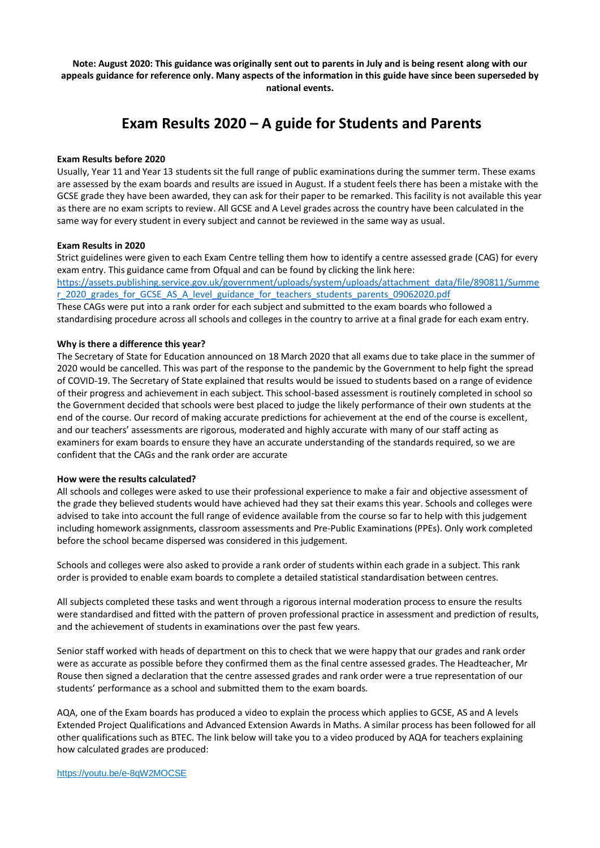**Note: August 2020: This guidance was originally sent out to parents in July and is being resent along with our appeals guidance for reference only. Many aspects of the information in this guide have since been superseded by national events.**

# **Exam Results 2020 – A guide for Students and Parents**

### **Exam Results before 2020**

Usually, Year 11 and Year 13 students sit the full range of public examinations during the summer term. These exams are assessed by the exam boards and results are issued in August. If a student feels there has been a mistake with the GCSE grade they have been awarded, they can ask for their paper to be remarked. This facility is not available this year as there are no exam scripts to review. All GCSE and A Level grades across the country have been calculated in the same way for every student in every subject and cannot be reviewed in the same way as usual.

### **Exam Results in 2020**

Strict guidelines were given to each Exam Centre telling them how to identify a centre assessed grade (CAG) for every exam entry. This guidance came from Ofqual and can be found by clicking the link here: [https://assets.publishing.service.gov.uk/government/uploads/system/uploads/attachment\\_data/file/890811/Summe](https://assets.publishing.service.gov.uk/government/uploads/system/uploads/attachment_data/file/890811/Summer_2020_grades_for_GCSE_AS_A_level_guidance_for_teachers_students_parents_09062020.pdf) [r\\_2020\\_grades\\_for\\_GCSE\\_AS\\_A\\_level\\_guidance\\_for\\_teachers\\_students\\_parents\\_09062020.pdf](https://assets.publishing.service.gov.uk/government/uploads/system/uploads/attachment_data/file/890811/Summer_2020_grades_for_GCSE_AS_A_level_guidance_for_teachers_students_parents_09062020.pdf)

These CAGs were put into a rank order for each subject and submitted to the exam boards who followed a standardising procedure across all schools and colleges in the country to arrive at a final grade for each exam entry.

### **Why is there a difference this year?**

The Secretary of State for Education announced on 18 March 2020 that all exams due to take place in the summer of 2020 would be cancelled. This was part of the response to the pandemic by the Government to help fight the spread of COVID-19. The Secretary of State explained that results would be issued to students based on a range of evidence of their progress and achievement in each subject. This school-based assessment is routinely completed in school so the Government decided that schools were best placed to judge the likely performance of their own students at the end of the course. Our record of making accurate predictions for achievement at the end of the course is excellent, and our teachers' assessments are rigorous, moderated and highly accurate with many of our staff acting as examiners for exam boards to ensure they have an accurate understanding of the standards required, so we are confident that the CAGs and the rank order are accurate

#### **How were the results calculated?**

All schools and colleges were asked to use their professional experience to make a fair and objective assessment of the grade they believed students would have achieved had they sat their exams this year. Schools and colleges were advised to take into account the full range of evidence available from the course so far to help with this judgement including homework assignments, classroom assessments and Pre-Public Examinations (PPEs). Only work completed before the school became dispersed was considered in this judgement.

Schools and colleges were also asked to provide a rank order of students within each grade in a subject. This rank order is provided to enable exam boards to complete a detailed statistical standardisation between centres.

All subjects completed these tasks and went through a rigorous internal moderation process to ensure the results were standardised and fitted with the pattern of proven professional practice in assessment and prediction of results, and the achievement of students in examinations over the past few years.

Senior staff worked with heads of department on this to check that we were happy that our grades and rank order were as accurate as possible before they confirmed them as the final centre assessed grades. The Headteacher, Mr Rouse then signed a declaration that the centre assessed grades and rank order were a true representation of our students' performance as a school and submitted them to the exam boards.

AQA, one of the Exam boards has produced a video to explain the process which applies to GCSE, AS and A levels Extended Project Qualifications and Advanced Extension Awards in Maths. A similar process has been followed for all other qualifications such as BTEC. The link below will take you to a video produced by AQA for teachers explaining how calculated grades are produced: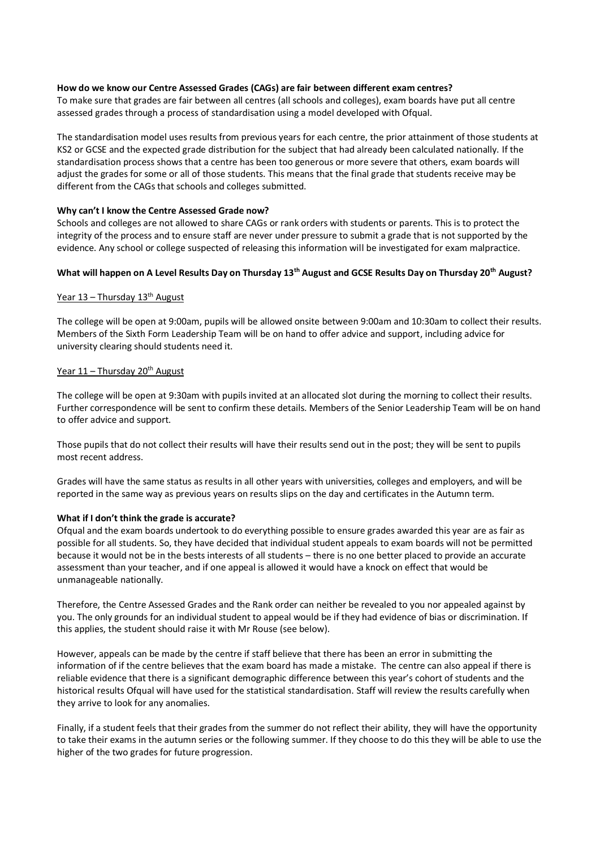## **How do we know our Centre Assessed Grades (CAGs) are fair between different exam centres?**

To make sure that grades are fair between all centres (all schools and colleges), exam boards have put all centre assessed grades through a process of standardisation using a model developed with Ofqual.

The standardisation model uses results from previous years for each centre, the prior attainment of those students at KS2 or GCSE and the expected grade distribution for the subject that had already been calculated nationally. If the standardisation process shows that a centre has been too generous or more severe that others, exam boards will adjust the grades for some or all of those students. This means that the final grade that students receive may be different from the CAGs that schools and colleges submitted.

## **Why can't I know the Centre Assessed Grade now?**

Schools and colleges are not allowed to share CAGs or rank orders with students or parents. This is to protect the integrity of the process and to ensure staff are never under pressure to submit a grade that is not supported by the evidence. Any school or college suspected of releasing this information will be investigated for exam malpractice.

## **What will happen on A Level Results Day on Thursday 13th August and GCSE Results Day on Thursday 20th August?**

### Year  $13$  – Thursday  $13<sup>th</sup>$  August

The college will be open at 9:00am, pupils will be allowed onsite between 9:00am and 10:30am to collect their results. Members of the Sixth Form Leadership Team will be on hand to offer advice and support, including advice for university clearing should students need it.

## Year 11 - Thursday 20<sup>th</sup> August

The college will be open at 9:30am with pupils invited at an allocated slot during the morning to collect their results. Further correspondence will be sent to confirm these details. Members of the Senior Leadership Team will be on hand to offer advice and support.

Those pupils that do not collect their results will have their results send out in the post; they will be sent to pupils most recent address.

Grades will have the same status as results in all other years with universities, colleges and employers, and will be reported in the same way as previous years on results slips on the day and certificates in the Autumn term.

## **What if I don't think the grade is accurate?**

Ofqual and the exam boards undertook to do everything possible to ensure grades awarded this year are as fair as possible for all students. So, they have decided that individual student appeals to exam boards will not be permitted because it would not be in the bests interests of all students – there is no one better placed to provide an accurate assessment than your teacher, and if one appeal is allowed it would have a knock on effect that would be unmanageable nationally.

Therefore, the Centre Assessed Grades and the Rank order can neither be revealed to you nor appealed against by you. The only grounds for an individual student to appeal would be if they had evidence of bias or discrimination. If this applies, the student should raise it with Mr Rouse (see below).

However, appeals can be made by the centre if staff believe that there has been an error in submitting the information of if the centre believes that the exam board has made a mistake. The centre can also appeal if there is reliable evidence that there is a significant demographic difference between this year's cohort of students and the historical results Ofqual will have used for the statistical standardisation. Staff will review the results carefully when they arrive to look for any anomalies.

Finally, if a student feels that their grades from the summer do not reflect their ability, they will have the opportunity to take their exams in the autumn series or the following summer. If they choose to do this they will be able to use the higher of the two grades for future progression.